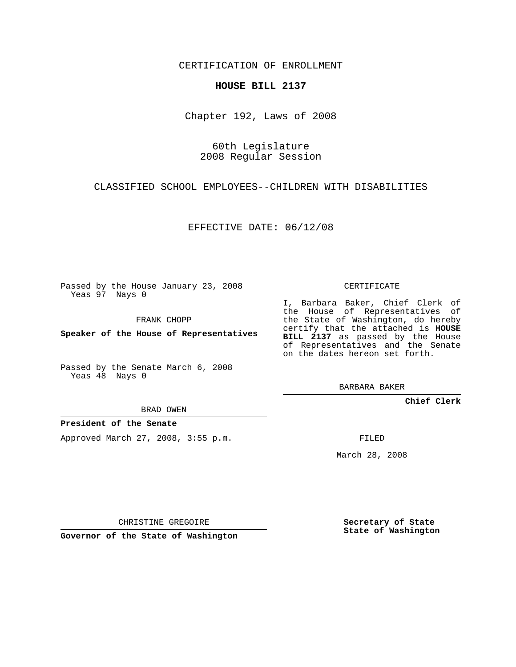CERTIFICATION OF ENROLLMENT

## **HOUSE BILL 2137**

Chapter 192, Laws of 2008

60th Legislature 2008 Regular Session

CLASSIFIED SCHOOL EMPLOYEES--CHILDREN WITH DISABILITIES

EFFECTIVE DATE: 06/12/08

Passed by the House January 23, 2008 Yeas 97 Nays 0

FRANK CHOPP

**Speaker of the House of Representatives**

Passed by the Senate March 6, 2008 Yeas 48 Nays 0

I, Barbara Baker, Chief Clerk of

the House of Representatives of the State of Washington, do hereby certify that the attached is **HOUSE BILL 2137** as passed by the House of Representatives and the Senate on the dates hereon set forth.

BARBARA BAKER

**Chief Clerk**

BRAD OWEN

**President of the Senate**

Approved March 27, 2008, 3:55 p.m.

FILED

March 28, 2008

CHRISTINE GREGOIRE

**Governor of the State of Washington**

**Secretary of State State of Washington**

## CERTIFICATE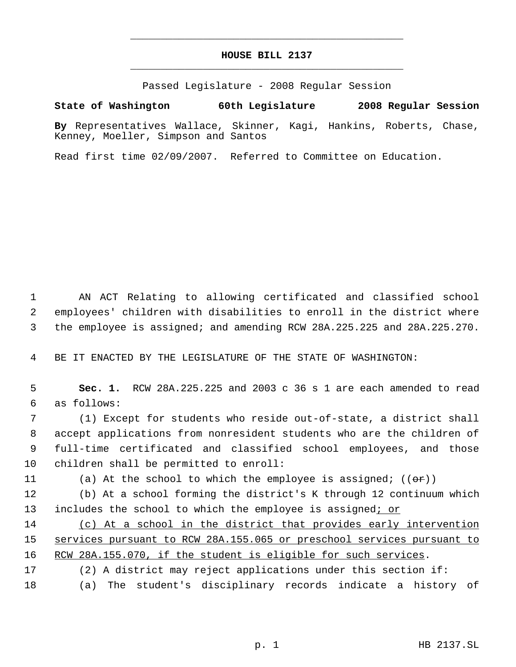## **HOUSE BILL 2137** \_\_\_\_\_\_\_\_\_\_\_\_\_\_\_\_\_\_\_\_\_\_\_\_\_\_\_\_\_\_\_\_\_\_\_\_\_\_\_\_\_\_\_\_\_

\_\_\_\_\_\_\_\_\_\_\_\_\_\_\_\_\_\_\_\_\_\_\_\_\_\_\_\_\_\_\_\_\_\_\_\_\_\_\_\_\_\_\_\_\_

Passed Legislature - 2008 Regular Session

## **State of Washington 60th Legislature 2008 Regular Session**

**By** Representatives Wallace, Skinner, Kagi, Hankins, Roberts, Chase, Kenney, Moeller, Simpson and Santos

Read first time 02/09/2007. Referred to Committee on Education.

 1 AN ACT Relating to allowing certificated and classified school 2 employees' children with disabilities to enroll in the district where 3 the employee is assigned; and amending RCW 28A.225.225 and 28A.225.270.

4 BE IT ENACTED BY THE LEGISLATURE OF THE STATE OF WASHINGTON:

 5 **Sec. 1.** RCW 28A.225.225 and 2003 c 36 s 1 are each amended to read 6 as follows:

 (1) Except for students who reside out-of-state, a district shall accept applications from nonresident students who are the children of full-time certificated and classified school employees, and those children shall be permitted to enroll:

11 (a) At the school to which the employee is assigned;  $((\theta \cdot \mathbf{r}))$ 

12 (b) At a school forming the district's K through 12 continuum which 13 includes the school to which the employee is assigned; or

14 (c) At a school in the district that provides early intervention 15 services pursuant to RCW 28A.155.065 or preschool services pursuant to 16 RCW 28A.155.070, if the student is eligible for such services.

- 17 (2) A district may reject applications under this section if:
- 18 (a) The student's disciplinary records indicate a history of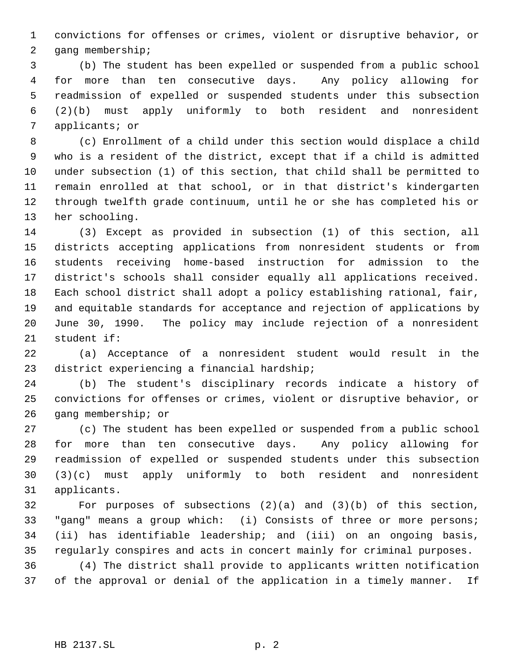convictions for offenses or crimes, violent or disruptive behavior, or gang membership;

 (b) The student has been expelled or suspended from a public school for more than ten consecutive days. Any policy allowing for readmission of expelled or suspended students under this subsection (2)(b) must apply uniformly to both resident and nonresident applicants; or

 (c) Enrollment of a child under this section would displace a child who is a resident of the district, except that if a child is admitted under subsection (1) of this section, that child shall be permitted to remain enrolled at that school, or in that district's kindergarten through twelfth grade continuum, until he or she has completed his or her schooling.

 (3) Except as provided in subsection (1) of this section, all districts accepting applications from nonresident students or from students receiving home-based instruction for admission to the district's schools shall consider equally all applications received. Each school district shall adopt a policy establishing rational, fair, and equitable standards for acceptance and rejection of applications by June 30, 1990. The policy may include rejection of a nonresident student if:

 (a) Acceptance of a nonresident student would result in the district experiencing a financial hardship;

 (b) The student's disciplinary records indicate a history of convictions for offenses or crimes, violent or disruptive behavior, or gang membership; or

 (c) The student has been expelled or suspended from a public school for more than ten consecutive days. Any policy allowing for readmission of expelled or suspended students under this subsection (3)(c) must apply uniformly to both resident and nonresident applicants.

 For purposes of subsections (2)(a) and (3)(b) of this section, "gang" means a group which: (i) Consists of three or more persons; (ii) has identifiable leadership; and (iii) on an ongoing basis, regularly conspires and acts in concert mainly for criminal purposes.

 (4) The district shall provide to applicants written notification of the approval or denial of the application in a timely manner. If